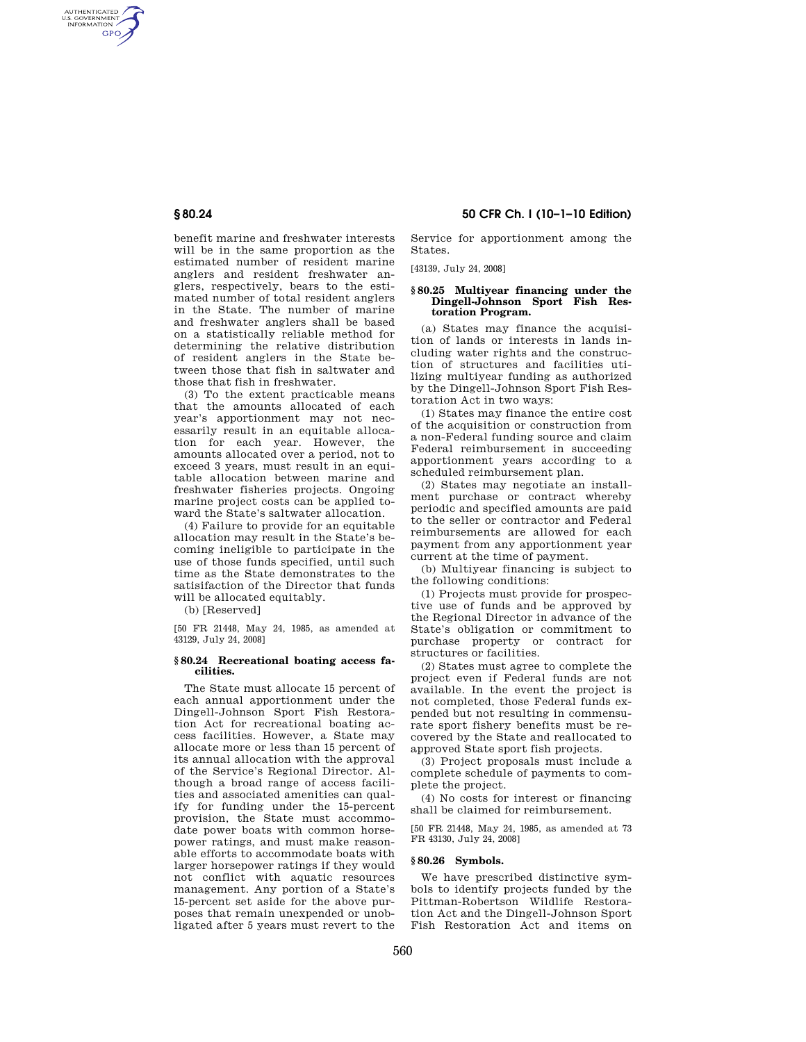AUTHENTICATED<br>U.S. GOVERNMENT<br>INFORMATION GPO

> benefit marine and freshwater interests will be in the same proportion as the estimated number of resident marine anglers and resident freshwater anglers, respectively, bears to the estimated number of total resident anglers in the State. The number of marine and freshwater anglers shall be based on a statistically reliable method for determining the relative distribution of resident anglers in the State between those that fish in saltwater and those that fish in freshwater.

> (3) To the extent practicable means that the amounts allocated of each year's apportionment may not necessarily result in an equitable allocation for each year. However, the amounts allocated over a period, not to exceed 3 years, must result in an equitable allocation between marine and freshwater fisheries projects. Ongoing marine project costs can be applied toward the State's saltwater allocation.

> (4) Failure to provide for an equitable allocation may result in the State's becoming ineligible to participate in the use of those funds specified, until such time as the State demonstrates to the satisifaction of the Director that funds will be allocated equitably.

(b) [Reserved]

[50 FR 21448, May 24, 1985, as amended at 43129, July 24, 2008]

#### **§ 80.24 Recreational boating access facilities.**

The State must allocate 15 percent of each annual apportionment under the Dingell-Johnson Sport Fish Restoration Act for recreational boating access facilities. However, a State may allocate more or less than 15 percent of its annual allocation with the approval of the Service's Regional Director. Although a broad range of access facilities and associated amenities can qualify for funding under the 15-percent provision, the State must accommodate power boats with common horsepower ratings, and must make reasonable efforts to accommodate boats with larger horsepower ratings if they would not conflict with aquatic resources management. Any portion of a State's 15-percent set aside for the above purposes that remain unexpended or unobligated after 5 years must revert to the

## **§ 80.24 50 CFR Ch. I (10–1–10 Edition)**

Service for apportionment among the States.

[43139, July 24, 2008]

#### **§ 80.25 Multiyear financing under the Dingell-Johnson Sport Fish Restoration Program.**

(a) States may finance the acquisition of lands or interests in lands including water rights and the construction of structures and facilities utilizing multiyear funding as authorized by the Dingell-Johnson Sport Fish Restoration Act in two ways:

(1) States may finance the entire cost of the acquisition or construction from a non-Federal funding source and claim Federal reimbursement in succeeding apportionment years according to a scheduled reimbursement plan.

(2) States may negotiate an installment purchase or contract whereby periodic and specified amounts are paid to the seller or contractor and Federal reimbursements are allowed for each payment from any apportionment year current at the time of payment.

(b) Multiyear financing is subject to the following conditions:

(1) Projects must provide for prospective use of funds and be approved by the Regional Director in advance of the State's obligation or commitment to purchase property or contract for structures or facilities.

(2) States must agree to complete the project even if Federal funds are not available. In the event the project is not completed, those Federal funds expended but not resulting in commensurate sport fishery benefits must be recovered by the State and reallocated to approved State sport fish projects.

(3) Project proposals must include a complete schedule of payments to complete the project.

(4) No costs for interest or financing shall be claimed for reimbursement.

[50 FR 21448, May 24, 1985, as amended at 73 FR 43130, July 24, 2008]

### **§ 80.26 Symbols.**

We have prescribed distinctive symbols to identify projects funded by the Pittman-Robertson Wildlife Restoration Act and the Dingell-Johnson Sport Fish Restoration Act and items on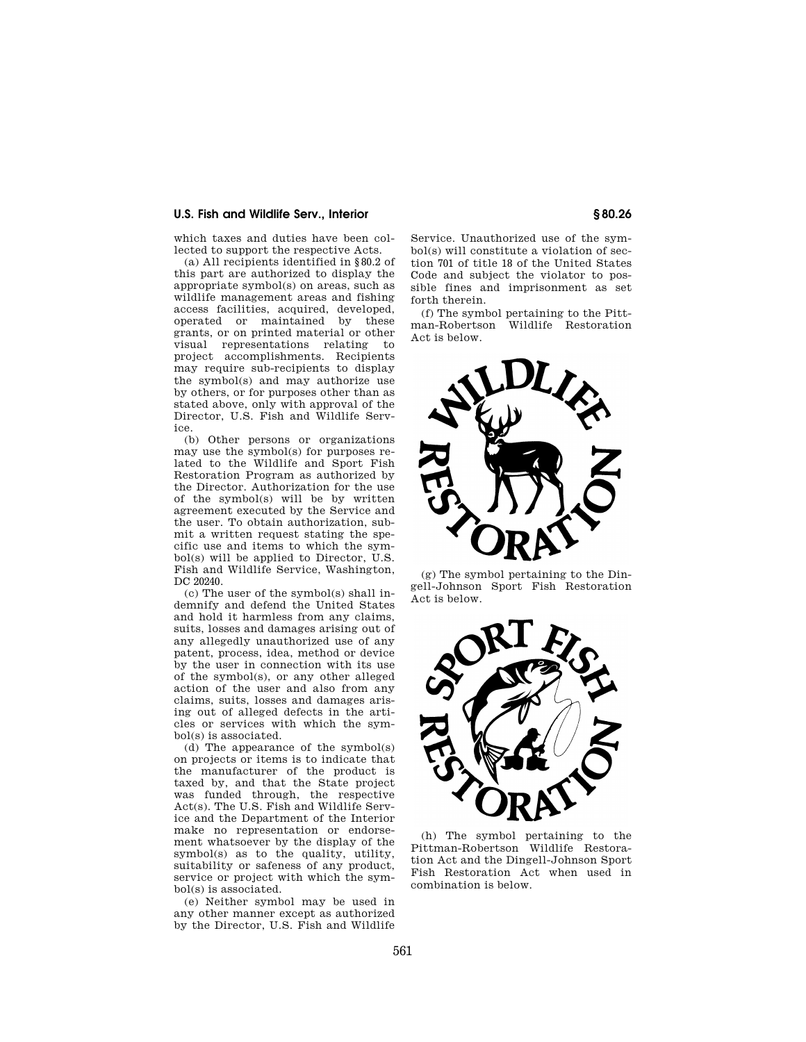## **U.S. Fish and Wildlife Serv., Interior § 80.26**

which taxes and duties have been collected to support the respective Acts.

(a) All recipients identified in §80.2 of this part are authorized to display the appropriate symbol(s) on areas, such as wildlife management areas and fishing access facilities, acquired, developed, operated or maintained by these grants, or on printed material or other visual representations relating to project accomplishments. Recipients may require sub-recipients to display the symbol(s) and may authorize use by others, or for purposes other than as stated above, only with approval of the Director, U.S. Fish and Wildlife Service.

(b) Other persons or organizations may use the symbol(s) for purposes related to the Wildlife and Sport Fish Restoration Program as authorized by the Director. Authorization for the use of the symbol(s) will be by written agreement executed by the Service and the user. To obtain authorization, submit a written request stating the specific use and items to which the symbol(s) will be applied to Director, U.S. Fish and Wildlife Service, Washington, DC 20240.

(c) The user of the symbol(s) shall indemnify and defend the United States and hold it harmless from any claims, suits, losses and damages arising out of any allegedly unauthorized use of any patent, process, idea, method or device by the user in connection with its use of the symbol(s), or any other alleged action of the user and also from any claims, suits, losses and damages arising out of alleged defects in the articles or services with which the symbol(s) is associated.

(d) The appearance of the symbol(s) on projects or items is to indicate that the manufacturer of the product is taxed by, and that the State project was funded through, the respective Act(s). The U.S. Fish and Wildlife Service and the Department of the Interior make no representation or endorsement whatsoever by the display of the symbol(s) as to the quality, utility, suitability or safeness of any product, service or project with which the symbol(s) is associated.

(e) Neither symbol may be used in any other manner except as authorized by the Director, U.S. Fish and Wildlife

Service. Unauthorized use of the symbol(s) will constitute a violation of section 701 of title 18 of the United States Code and subject the violator to possible fines and imprisonment as set forth therein.

(f) The symbol pertaining to the Pittman-Robertson Wildlife Restoration Act is below.



(g) The symbol pertaining to the Dingell-Johnson Sport Fish Restoration Act is below.



(h) The symbol pertaining to the Pittman-Robertson Wildlife Restoration Act and the Dingell-Johnson Sport Fish Restoration Act when used in combination is below.